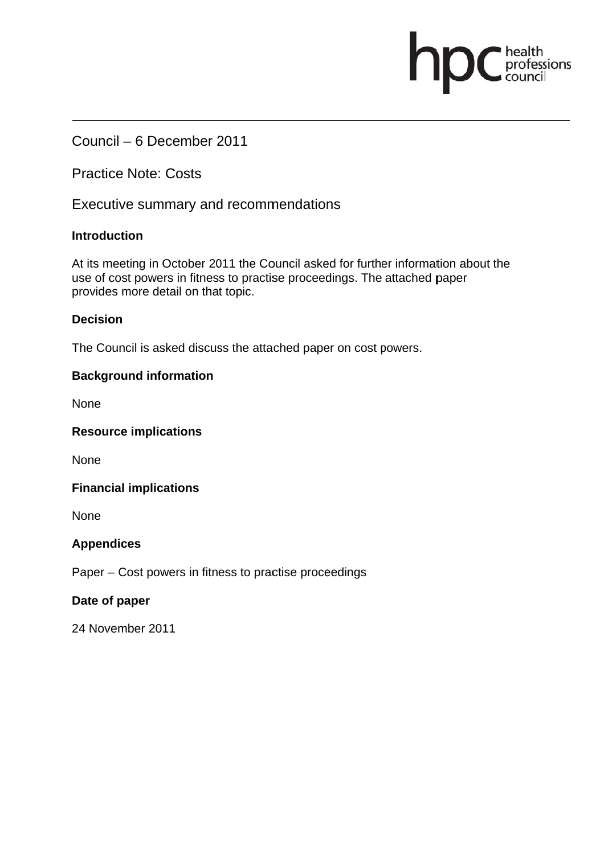Council - 6 December 2011

**Practice Note: Costs** 

Executive summary and recommendations

## **Introduction**

At its meeting in October 2011 the Council asked for further information about the use of cost powers in fitness to practise proceedings. The attached paper provides more detail on that topic.

professions

## **Decision**

The Council is asked discuss the attached paper on cost powers.

## **Background information**

**None** 

**Resource implications** 

**None** 

**Financial implications** 

**None** 

## **Appendices**

Paper – Cost powers in fitness to practise proceedings

## Date of paper

24 November 2011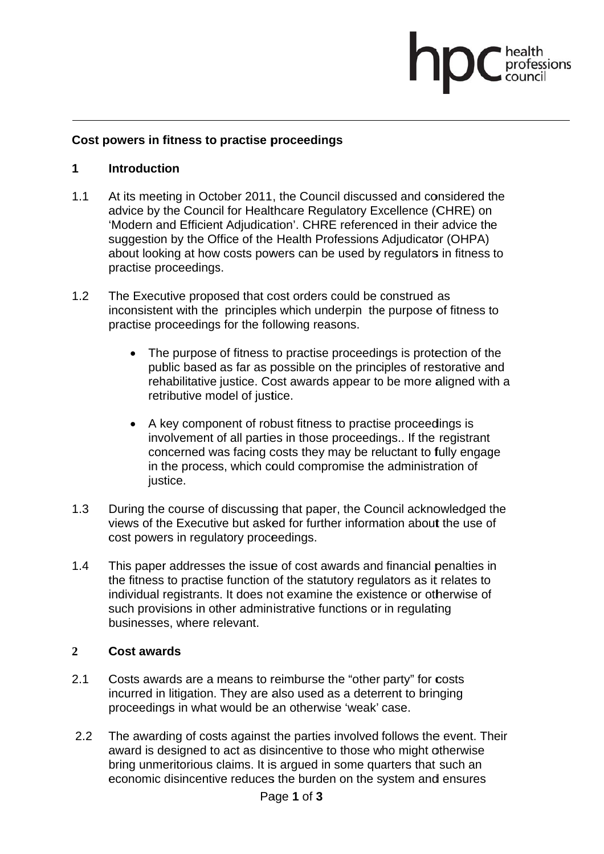# ofessions

#### Cost powers in fitness to practise proceedings

#### $\blacksquare$ **Introduction**

- $1.1$ At its meeting in October 2011, the Council discussed and considered the advice by the Council for Healthcare Regulatory Excellence (CHRE) on 'Modern and Efficient Adjudication'. CHRE referenced in their advice the suggestion by the Office of the Health Professions Adjudicator (OHPA) about looking at how costs powers can be used by regulators in fitness to practise proceedings.
- $1.2$ The Executive proposed that cost orders could be construed as inconsistent with the principles which underpin the purpose of fitness to practise proceedings for the following reasons.
	- The purpose of fitness to practise proceedings is protection of the  $\bullet$ public based as far as possible on the principles of restorative and rehabilitative justice. Cost awards appear to be more aligned with a retributive model of justice.
	- A key component of robust fitness to practise proceedings is involvement of all parties in those proceedings.. If the registrant concerned was facing costs they may be reluctant to fully engage in the process, which could compromise the administration of justice.
- $1.3$ During the course of discussing that paper, the Council acknowledged the views of the Executive but asked for further information about the use of cost powers in regulatory proceedings.
- $1.4$ This paper addresses the issue of cost awards and financial penalties in the fitness to practise function of the statutory regulators as it relates to individual registrants. It does not examine the existence or otherwise of such provisions in other administrative functions or in regulating businesses, where relevant.

#### $\overline{2}$ Cost awards

- $2.1$ Costs awards are a means to reimburse the "other party" for costs incurred in litigation. They are also used as a deterrent to bringing proceedings in what would be an otherwise 'weak' case.
- $2.2$ The awarding of costs against the parties involved follows the event. Their award is designed to act as disincentive to those who might otherwise bring unmeritorious claims. It is argued in some quarters that such an economic disincentive reduces the burden on the system and ensures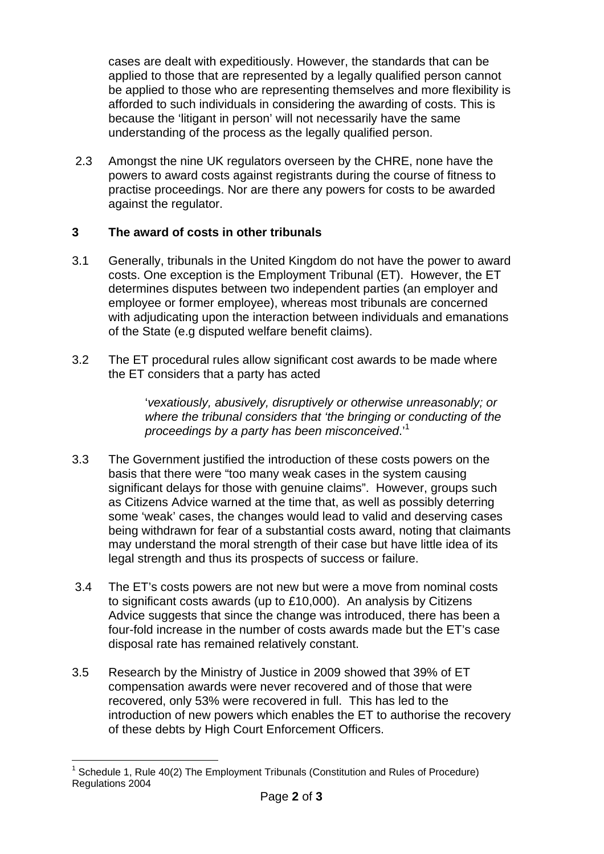cases are dealt with expeditiously. However, the standards that can be applied to those that are represented by a legally qualified person cannot be applied to those who are representing themselves and more flexibility is afforded to such individuals in considering the awarding of costs. This is because the 'litigant in person' will not necessarily have the same understanding of the process as the legally qualified person.

 2.3 Amongst the nine UK regulators overseen by the CHRE, none have the powers to award costs against registrants during the course of fitness to practise proceedings. Nor are there any powers for costs to be awarded against the regulator.

# **3 The award of costs in other tribunals**

- 3.1 Generally, tribunals in the United Kingdom do not have the power to award costs. One exception is the Employment Tribunal (ET). However, the ET determines disputes between two independent parties (an employer and employee or former employee), whereas most tribunals are concerned with adjudicating upon the interaction between individuals and emanations of the State (e.g disputed welfare benefit claims).
- 3.2 The ET procedural rules allow significant cost awards to be made where the ET considers that a party has acted

'*vexatiously, abusively, disruptively or otherwise unreasonably; or where the tribunal considers that 'the bringing or conducting of the proceedings by a party has been misconceived*.'1

- 3.3 The Government justified the introduction of these costs powers on the basis that there were "too many weak cases in the system causing significant delays for those with genuine claims". However, groups such as Citizens Advice warned at the time that, as well as possibly deterring some 'weak' cases, the changes would lead to valid and deserving cases being withdrawn for fear of a substantial costs award, noting that claimants may understand the moral strength of their case but have little idea of its legal strength and thus its prospects of success or failure.
- 3.4 The ET's costs powers are not new but were a move from nominal costs to significant costs awards (up to £10,000). An analysis by Citizens Advice suggests that since the change was introduced, there has been a four-fold increase in the number of costs awards made but the ET's case disposal rate has remained relatively constant.
- 3.5 Research by the Ministry of Justice in 2009 showed that 39% of ET compensation awards were never recovered and of those that were recovered, only 53% were recovered in full. This has led to the introduction of new powers which enables the ET to authorise the recovery of these debts by High Court Enforcement Officers.

 $\overline{a}$ 1 Schedule 1, Rule 40(2) The Employment Tribunals (Constitution and Rules of Procedure) Regulations 2004